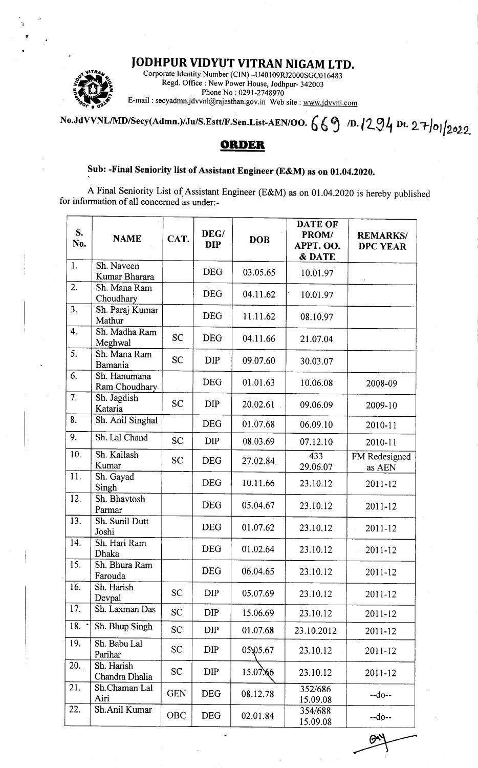## IODHPUR VIDYUT VITRAN NIGAM LTD.



1 a t

> Corporate Identity Number (CIN) -U40 I 09RJ2000SGC0 I <sup>6483</sup> Regd. Office : New Power House, Jodhpur- 342003 Phone No: 0291-2748970 E-mail : secyadmnjdwnl@rajasthan.gov.in Web site : wwwjdvvnl.com

No.JdVVNL/MD/Secy(Admn.)/Ju/S.Estt/F.Sen.List-AEN/OO.  $669$  D.  $1294$  Dt. 27/01/2022

## ORDER

## Sub: -Final Seniority list of Assistant Engineer (E&M) as on 01.04.2020.

A Final Seniority List of.Assistant Engineer (E&M) as on 0l .04.2020 is hereby published for information of all concerned as under:-

| S.<br>No. | <b>NAME</b>                   | CAT.       | DEG/<br><b>DIP</b> | <b>DOB</b> | <b>DATE OF</b><br>PROM/<br>APPT. OO.<br>& DATE | <b>REMARKS/</b><br><b>DPC YEAR</b> |
|-----------|-------------------------------|------------|--------------------|------------|------------------------------------------------|------------------------------------|
| 1.        | Sh. Naveen<br>Kumar Bharara   |            | <b>DEG</b>         | 03.05.65   | 10.01.97                                       |                                    |
| 2.        | Sh. Mana Ram<br>Choudhary     |            | <b>DEG</b>         | 04.11.62   | 10.01.97                                       |                                    |
| 3.        | Sh. Paraj Kumar<br>Mathur     |            | <b>DEG</b>         | 11.11.62   | 08.10.97                                       |                                    |
| 4.        | Sh. Madha Ram<br>Meghwal      | <b>SC</b>  | <b>DEG</b>         | 04.11.66   | 21.07.04                                       |                                    |
| 5.        | Sh. Mana Ram<br>Bamania       | <b>SC</b>  | <b>DIP</b>         | 09.07.60   | 30.03.07                                       |                                    |
| 6.        | Sh. Hanumana<br>Ram Choudhary |            | <b>DEG</b>         | 01.01.63   | 10.06.08                                       | 2008-09                            |
| 7.        | Sh. Jagdish<br>Kataria        | <b>SC</b>  | <b>DIP</b>         | 20.02.61   | 09.06.09                                       | 2009-10                            |
| 8.        | Sh. Anil Singhal              |            | <b>DEG</b>         | 01.07.68   | 06.09.10                                       | 2010-11                            |
| 9.        | Sh. Lal Chand                 | <b>SC</b>  | <b>DIP</b>         | 08.03.69   | 07.12.10                                       | 2010-11                            |
| 10.       | Sh. Kailash<br>Kumar          | <b>SC</b>  | <b>DEG</b>         | 27.02.84   | 433<br>29.06.07                                | FM Redesigned<br>as AEN            |
| 11.       | Sh. Gayad<br>Singh            |            | <b>DEG</b>         | 10.11.66   | 23.10.12                                       | 2011-12                            |
| 12.       | Sh. Bhavtosh<br>Parmar        |            | <b>DEG</b>         | 05.04.67   | 23.10.12                                       | 2011-12                            |
| 13.       | Sh. Sunil Dutt<br>Joshi       |            | <b>DEG</b>         | 01.07.62   | 23.10.12                                       | 2011-12                            |
| 14.       | Sh. Hari Ram<br>Dhaka         |            | <b>DEG</b>         | 01.02.64   | 23.10.12                                       | 2011-12                            |
| 15.       | Sh. Bhura Ram<br>Farouda      |            | <b>DEG</b>         | 06.04.65   | 23.10.12                                       | 2011-12                            |
| 16.       | Sh. Harish<br>Devpal          | <b>SC</b>  | DIP                | 05.07.69   | 23.10.12                                       | 2011-12                            |
| 17.       | Sh. Laxman Das                | <b>SC</b>  | <b>DIP</b>         | 15.06.69   | 23.10.12                                       | 2011-12                            |
| 18.       | Sh. Bhup Singh                | <b>SC</b>  | <b>DIP</b>         | 01.07.68   | 23.10.2012                                     | 2011-12                            |
| 19.       | Sh. Babu Lal<br>Parihar       | <b>SC</b>  | DIP                | 05\05.67   | 23.10.12                                       | 2011-12                            |
| 20.       | Sh. Harish<br>Chandra Dhalia  | <b>SC</b>  | <b>DIP</b>         | 15.07.66   | 23.10.12                                       | 2011-12                            |
| 21.       | Sh.Chaman Lal<br>Airi         | <b>GEN</b> | <b>DEG</b>         | 08.12.78   | 352/686<br>15.09.08                            | $-do-$                             |
| 22.       | Sh.Anil Kumar                 | <b>OBC</b> | <b>DEG</b>         | 02.01.84   | 354/688<br>15.09.08                            | $-do-$                             |
|           |                               |            |                    |            |                                                |                                    |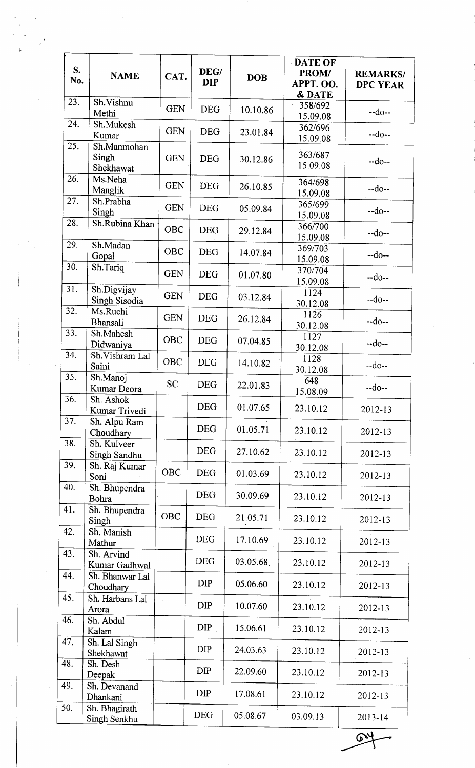| S.<br>No. | <b>NAME</b>                       | CAT.       | DEG/<br><b>DIP</b> | <b>DOB</b> | <b>DATE OF</b><br>PROM/<br>APPT. OO.<br>& DATE | <b>REMARKS/</b><br><b>DPC YEAR</b> |
|-----------|-----------------------------------|------------|--------------------|------------|------------------------------------------------|------------------------------------|
| 23.       | Sh.Vishnu<br>Methi                | <b>GEN</b> | <b>DEG</b>         | 10.10.86   | 358/692<br>15.09.08                            | $-do-$                             |
| 24.       | Sh.Mukesh<br>Kumar                | <b>GEN</b> | <b>DEG</b>         | 23.01.84   | 362/696<br>15.09.08                            | $-do-$                             |
| 25.       | Sh.Manmohan<br>Singh<br>Shekhawat | <b>GEN</b> | <b>DEG</b>         | 30.12.86   | 363/687<br>15.09.08                            | $-do-$                             |
| 26.       | Ms.Neha<br>Manglik                | <b>GEN</b> | <b>DEG</b>         | 26.10.85   | 364/698<br>15.09.08                            | $-do-$                             |
| 27.       | Sh.Prabha<br>Singh                | <b>GEN</b> | <b>DEG</b>         | 05.09.84   | 365/699<br>15.09.08                            | $-do-$                             |
| 28.       | Sh.Rubina Khan                    | <b>OBC</b> | <b>DEG</b>         | 29.12.84   | 366/700<br>15.09.08                            | $-do-$                             |
| 29.       | Sh.Madan<br>Gopal                 | OBC        | <b>DEG</b>         | 14.07.84   | 369/703<br>15.09.08                            | $-do-$                             |
| 30.       | Sh.Tariq                          | <b>GEN</b> | <b>DEG</b>         | 01.07.80   | 370/704<br>15.09.08                            | $-do-$                             |
| 31.       | Sh.Digvijay<br>Singh Sisodia      | <b>GEN</b> | <b>DEG</b>         | 03.12.84   | 1124<br>30.12.08                               | $-do-$                             |
| 32.       | Ms.Ruchi<br><b>Bhansali</b>       | <b>GEN</b> | <b>DEG</b>         | 26.12.84   | 1126<br>30.12.08                               | $-do-$                             |
| 33.       | Sh.Mahesh<br>Didwaniya            | OBC        | <b>DEG</b>         | 07.04.85   | 1127<br>30.12.08                               | $-do-$                             |
| 34.       | Sh. Vishram Lal<br>Saini          | OBC        | <b>DEG</b>         | 14.10.82   | 1128<br>30.12.08                               | $-do-$                             |
| 35.       | Sh.Manoj<br>Kumar Deora           | <b>SC</b>  | <b>DEG</b>         | 22.01.83   | 648<br>15.08.09                                | $-do-$                             |
| 36.       | Sh. Ashok<br>Kumar Trivedi        |            | <b>DEG</b>         | 01.07.65   | 23.10.12                                       | 2012-13                            |
| 37.       | Sh. Alpu Ram<br>Choudhary         |            | <b>DEG</b>         | 01.05.71   | 23.10.12                                       | 2012-13                            |
| 38.       | Sh. Kulveer<br>Singh Sandhu       |            | <b>DEG</b>         | 27.10.62   | 23.10.12                                       | 2012-13                            |
| 39.       | Sh. Raj Kumar<br>Soni             | <b>OBC</b> | <b>DEG</b>         | 01.03.69   | 23.10.12                                       | 2012-13                            |
| 40.       | Sh. Bhupendra<br>Bohra            |            | <b>DEG</b>         | 30.09.69   | 23.10.12                                       | 2012-13                            |
| 41.       | Sh. Bhupendra<br>Singh            | <b>OBC</b> | <b>DEG</b>         | 21.05.71   | 23.10.12                                       | 2012-13                            |
| 42.       | Sh. Manish<br>Mathur              |            | <b>DEG</b>         | 17.10.69   | 23.10.12                                       | 2012-13                            |
| 43.       | Sh. Arvind<br>Kumar Gadhwal       |            | <b>DEG</b>         | 03.05.68   | 23.10.12                                       | 2012-13                            |
| 44.       | Sh. Bhanwar Lal<br>Choudhary      |            | <b>DIP</b>         | 05.06.60   | 23.10.12                                       | 2012-13                            |
| 45.       | Sh. Harbans Lal<br>Arora          |            | <b>DIP</b>         | 10.07.60   | $-23.10.12$                                    | 2012-13                            |
| 46.       | Sh. Abdul<br>Kalam                |            | <b>DIP</b>         | 15.06.61   | 23.10.12                                       | 2012-13                            |
| 47.       | Sh. Lal Singh<br>Shekhawat        |            | <b>DIP</b>         | 24.03.63   | 23.10.12                                       | 2012-13                            |
| 48.       | Sh. Desh<br>Deepak                |            | <b>DIP</b>         | 22.09.60   | 23.10.12                                       | 2012-13                            |
| 49.       | Sh. Devanand<br>Dhankani          |            | <b>DIP</b>         | 17.08.61   | 23.10.12                                       | 2012-13                            |
| 50.       | Sh. Bhagirath<br>Singh Senkhu     |            | <b>DEG</b>         | 05.08.67   | 03.09.13                                       | 2013-14                            |

 $\mathbb{R}^2$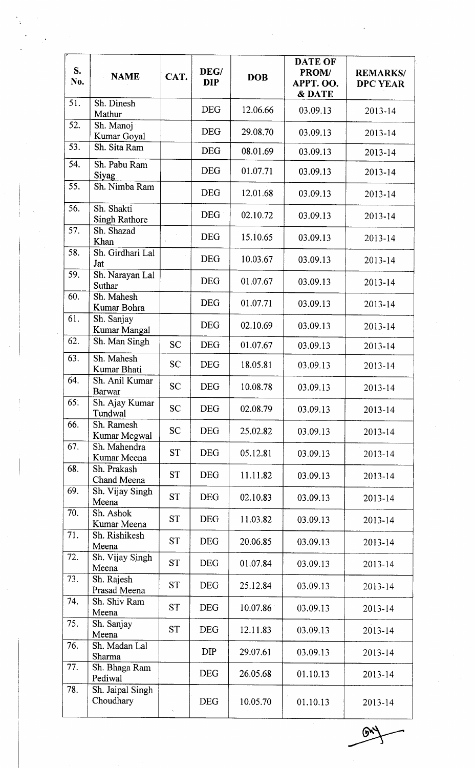| S.<br>No.         | <b>NAME</b>                        | CAT.      | DEG/<br><b>DIP</b> | <b>DOB</b> | <b>DATE OF</b><br>PROM/<br>APPT. OO.<br>& DATE | <b>REMARKS/</b><br><b>DPC YEAR</b> |
|-------------------|------------------------------------|-----------|--------------------|------------|------------------------------------------------|------------------------------------|
| 51.               | Sh. Dinesh<br>Mathur               |           | <b>DEG</b>         | 12.06.66   | 03.09.13                                       | $2013 - 14$                        |
| 52.               | Sh. Manoj<br>Kumar Goyal           |           | <b>DEG</b>         | 29.08.70   | 03.09.13                                       | $2013 - 14$                        |
| 53.               | Sh. Sita Ram                       |           | <b>DEG</b>         | 08.01.69   | 03.09.13                                       | 2013-14                            |
| 54.               | Sh. Pabu Ram<br>Siyag              |           | <b>DEG</b>         | 01.07.71   | 03.09.13                                       | 2013-14                            |
| $\overline{55}$ . | Sh. Nimba Ram                      |           | <b>DEG</b>         | 12.01.68   | 03.09.13                                       | 2013-14                            |
| 56.               | Sh. Shakti<br><b>Singh Rathore</b> |           | <b>DEG</b>         | 02.10.72   | 03.09.13                                       | $2013 - 14$                        |
| 57.               | Sh. Shazad<br>Khan                 |           | <b>DEG</b>         | 15.10.65   | 03.09.13                                       | 2013-14                            |
| 58.               | Sh. Girdhari Lal<br>Jat            |           | <b>DEG</b>         | 10.03.67   | 03.09.13                                       | 2013-14                            |
| 59.<br>60.        | Sh. Narayan Lal<br>Suthar          |           | <b>DEG</b>         | 01.07.67   | 03.09.13                                       | 2013-14                            |
| 61.               | Sh. Mahesh<br>Kumar Bohra          |           | <b>DEG</b>         | 01.07.71   | 03.09.13                                       | 2013-14                            |
|                   | Sh. Sanjay<br>Kumar Mangal         |           | <b>DEG</b>         | 02.10.69   | 03.09.13                                       | 2013-14                            |
| 62.               | Sh. Man Singh                      | <b>SC</b> | <b>DEG</b>         | 01.07.67   | 03.09.13                                       | 2013-14                            |
| 63.               | Sh. Mahesh<br>Kumar Bhati          | <b>SC</b> | <b>DEG</b>         | 18.05.81   | 03.09.13                                       | $2013 - 14$                        |
| 64.               | Sh. Anil Kumar<br><b>Barwar</b>    | <b>SC</b> | <b>DEG</b>         | 10.08.78   | 03.09.13                                       | 2013-14                            |
| 65.               | Sh. Ajay Kumar<br>Tundwal          | <b>SC</b> | <b>DEG</b>         | 02.08.79   | 03.09.13                                       | 2013-14                            |
| 66.               | Sh. Ramesh<br>Kumar Megwal         | <b>SC</b> | <b>DEG</b>         | 25.02.82   | 03.09.13                                       | 2013-14                            |
| 67.               | Sh. Mahendra<br>Kumar Meena        | <b>ST</b> | <b>DEG</b>         | 05.12.81   | 03.09.13                                       | 2013-14                            |
| 68.               | Sh. Prakash<br>Chand Meena         | <b>ST</b> | <b>DEG</b>         | 11.11.82   | 03.09.13                                       | 2013-14                            |
| 69.               | Sh. Vijay Singh<br>Meena           | <b>ST</b> | <b>DEG</b>         | 02.10.83   | 03.09.13                                       | 2013-14                            |
| 70.               | Sh. Ashok<br>Kumar Meena           | <b>ST</b> | <b>DEG</b>         | 11.03.82   | 03.09.13                                       | 2013-14                            |
| 71.               | Sh. Rishikesh<br>Meena             | <b>ST</b> | <b>DEG</b>         | 20.06.85   | 03.09.13                                       | 2013-14                            |
| 72.               | Sh. Vijay Singh<br>Meena           | <b>ST</b> | <b>DEG</b>         | 01.07.84   | 03.09.13                                       | 2013-14                            |
| 73.               | Sh. Rajesh<br>Prasad Meena         | <b>ST</b> | <b>DEG</b>         | 25.12.84   | 03.09.13                                       | $2013 - 14$                        |
| 74.               | Sh. Shiv Ram<br>Meena              | <b>ST</b> | <b>DEG</b>         | 10.07.86   | 03.09.13                                       | $2013 - 14$                        |
| 75.               | Sh. Sanjay<br>Meena                | <b>ST</b> | <b>DEG</b>         | 12.11.83   | 03.09.13                                       | 2013-14                            |
| 76.               | Sh. Madan Lal<br>Sharma            |           | <b>DIP</b>         | 29.07.61   | 03.09.13                                       | 2013-14                            |
| 77.               | Sh. Bhaga Ram<br>Pediwal           |           | <b>DEG</b>         | 26.05.68   | 01.10.13                                       | 2013-14                            |
| 78.               | Sh. Jaipal Singh<br>Choudhary      |           | <b>DEG</b>         | 10.05.70   | 01.10.13                                       | 2013-14                            |

 $\mathbb{R}^4$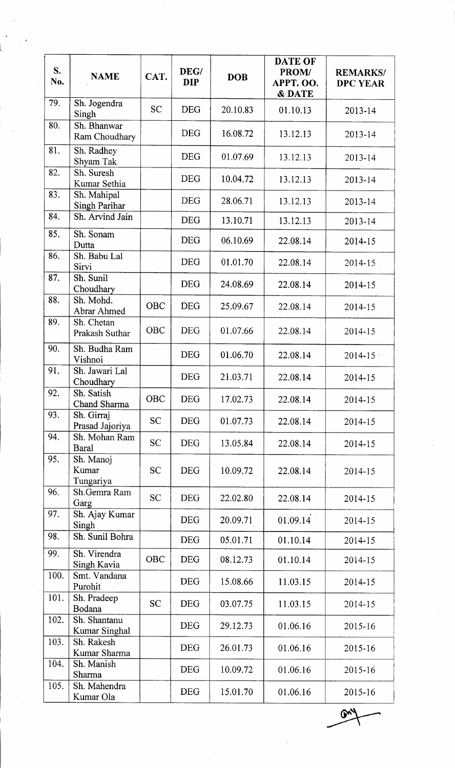| $S_{\bullet}$<br>No. | <b>NAME</b>                     | CAT.       | DEG/<br><b>DIP</b> | <b>DOB</b> | DATE OF<br>PROM/<br>APPT. OO.<br>& DATE | <b>REMARKS/</b><br><b>DPC YEAR</b> |
|----------------------|---------------------------------|------------|--------------------|------------|-----------------------------------------|------------------------------------|
| 79.                  | Sh. Jogendra<br>Singh           | <b>SC</b>  | <b>DEG</b>         | 20.10.83   | 01.10.13                                | 2013-14                            |
| 80.                  | Sh. Bhanwar<br>Ram Choudhary    |            | <b>DEG</b>         | 16.08.72   | 13.12.13                                | 2013-14                            |
| 81.                  | Sh. Radhey<br>Shyam Tak         |            | <b>DEG</b>         | 01.07.69   | 13.12.13                                | 2013-14                            |
| 82.                  | Sh. Suresh<br>Kumar Sethia      |            | <b>DEG</b>         | 10.04.72   | 13.12.13                                | 2013-14                            |
| 83.                  | Sh. Mahipal<br>Singh Parihar    |            | DEG                | 28.06.71   | 13.12.13                                | 2013-14                            |
| 84.                  | Sh. Arvind Jain                 |            | <b>DEG</b>         | 13.10.71   | $-13.12.13$                             | 2013-14                            |
| 85.                  | Sh. Sonam<br>Dutta              |            | <b>DEG</b>         | 06.10.69   | 22.08.14                                | 2014-15                            |
| 86.                  | Sh. Babu Lal<br>Sirvi           |            | <b>DEG</b>         | 01.01.70   | 22.08.14                                | 2014-15                            |
| 87.                  | Sh. Sunil<br>Choudhary          |            | <b>DEG</b>         | 24.08.69   | 22.08.14                                | 2014-15                            |
| 88.                  | Sh. Mohd.<br>Abrar Ahmed        | <b>OBC</b> | <b>DEG</b>         | 25.09.67   | 22.08.14                                | 2014-15                            |
| 89.                  | Sh. Chetan<br>Prakash Suthar    | <b>OBC</b> | <b>DEG</b>         | 01.07.66   | 22.08.14                                | 2014-15                            |
| 90.                  | Sh. Budha Ram<br>Vishnoi        |            | <b>DEG</b>         | 01.06.70   | 22.08.14                                | $2014 - 15$                        |
| 91.                  | Sh. Jawari Lal<br>Choudhary     |            | <b>DEG</b>         | 21.03.71   | 22.08.14                                | 2014-15                            |
| 92.                  | Sh. Satish<br>Chand Sharma      | OBC        | <b>DEG</b>         | 17.02.73   | 22.08.14                                | 2014-15                            |
| 93.                  | Sh. Girraj<br>Prasad Jajoriya   | <b>SC</b>  | <b>DEG</b>         | 01.07.73   | 22.08.14                                | 2014-15                            |
| 94.                  | Sh. Mohan Ram<br>Baral          | <b>SC</b>  | <b>DEG</b>         | 13.05.84   | 22.08.14                                | 2014-15                            |
| 95.                  | Sh. Manoj<br>Kumar<br>Tungariya | <b>SC</b>  | <b>DEG</b>         | 10.09.72   | 22.08.14                                | 2014-15                            |
| 96.                  | Sh.Gemra Ram<br>Garg            | <b>SC</b>  | <b>DEG</b>         | 22.02.80   | 22.08.14                                | 2014-15                            |
| 97.                  | Sh. Ajay Kumar<br>Singh         |            | <b>DEG</b>         | 20.09.71   | 01.09.14                                | 2014-15                            |
| 98.                  | Sh. Sunil Bohra                 |            | <b>DEG</b>         | 05.01.71   | 01.10.14                                | 2014-15                            |
| 99.                  | Sh. Virendra<br>Singh Kavia     | OBC        | <b>DEG</b>         | 08.12.73   | 01.10.14                                | 2014-15                            |
| 100.                 | Smt. Vandana<br>Purohit         |            | <b>DEG</b>         | 15.08.66   | 11.03.15                                | 2014-15                            |
| 101.                 | Sh. Pradeep<br>Bodana           | <b>SC</b>  | <b>DEG</b>         | 03.07.75   | 11.03.15                                | 2014-15                            |
| 102.                 | Sh. Shantanu<br>Kumar Singhal   |            | <b>DEG</b>         | 29.12.73   | 01.06.16                                | 2015-16                            |
| 103.                 | Sh. Rakesh<br>Kumar Sharma      |            | <b>DEG</b>         | 26.01.73   | 01.06.16                                | 2015-16                            |
| 104.                 | Sh. Manish<br>Sharma            |            | <b>DEG</b>         | 10.09.72   | 01.06.16                                | 2015-16                            |
| 105.                 | Sh. Mahendra<br>Kumar Ola       |            | <b>DEG</b>         | 15.01.70   | 01.06.16                                | 2015-16                            |

 $\widetilde{\mathbb{G}}$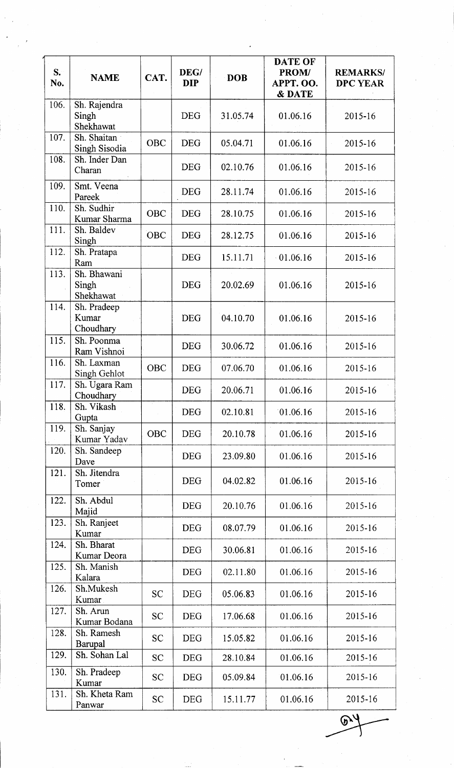| $S_{\cdot}$<br>No. | <b>NAME</b>                        | CAT.       | DEG/<br><b>DIP</b> | <b>DOB</b> | <b>DATE OF</b><br>PROM/<br>APPT. OO.<br>& DATE | <b>REMARKS/</b><br><b>DPC YEAR</b> |
|--------------------|------------------------------------|------------|--------------------|------------|------------------------------------------------|------------------------------------|
| 106.               | Sh. Rajendra<br>Singh<br>Shekhawat |            | <b>DEG</b>         | 31.05.74   | 01.06.16                                       | 2015-16                            |
| 107.               | Sh. Shaitan<br>Singh Sisodia       | OBC        | <b>DEG</b>         | 05.04.71   | 01.06.16                                       | 2015-16                            |
| 108.               | Sh. Inder Dan<br>Charan            |            | <b>DEG</b>         | 02.10.76   | 01.06.16                                       | 2015-16                            |
| 109.               | Smt. Veena<br>Pareek               |            | <b>DEG</b>         | 28.11.74   | 01.06.16                                       | 2015-16                            |
| 110.               | Sh. Sudhir<br>Kumar Sharma         | OBC        | <b>DEG</b>         | 28.10.75   | 01.06.16                                       | 2015-16                            |
| 111.               | Sh. Baldev<br>Singh                | OBC        | <b>DEG</b>         | 28.12.75   | 01.06.16                                       | 2015-16                            |
| 112.               | Sh. Pratapa<br>Ram                 |            | <b>DEG</b>         | 15.11.71   | 01.06.16                                       | 2015-16                            |
| 113.               | Sh. Bhawani<br>Singh<br>Shekhawat  |            | <b>DEG</b>         | 20.02.69   | 01.06.16                                       | 2015-16                            |
| 114.               | Sh. Pradeep<br>Kumar<br>Choudhary  |            | <b>DEG</b>         | 04.10.70   | 01.06.16                                       | 2015-16                            |
| 115.               | Sh. Poonma<br>Ram Vishnoi          |            | <b>DEG</b>         | 30.06.72   | 01.06.16                                       | 2015-16                            |
| 116.               | Sh. Laxman<br>Singh Gehlot         | <b>OBC</b> | <b>DEG</b>         | 07.06.70   | 01.06.16                                       | 2015-16                            |
| 117.               | Sh. Ugara Ram<br>Choudhary         |            | <b>DEG</b>         | 20.06.71   | 01.06.16                                       | 2015-16                            |
| 118.               | Sh. Vikash<br>Gupta                |            | <b>DEG</b>         | 02.10.81   | 01.06.16                                       | 2015-16                            |
| 119.               | Sh. Sanjay<br>Kumar Yadav          | OBC        | <b>DEG</b>         | 20.10.78   | 01.06.16                                       | 2015-16                            |
| 120.               | Sh. Sandeep<br>Dave                |            | <b>DEG</b>         | 23.09.80   | 01.06.16                                       | 2015-16                            |
| 121.               | Sh. Jitendra<br>Tomer              |            | <b>DEG</b>         | 04.02.82   | 01.06.16                                       | 2015-16                            |
| 122.               | Sh. Abdul<br>Majid                 |            | <b>DEG</b>         | 20.10.76   | 01.06.16                                       | 2015-16                            |
| 123.               | Sh. Ranjeet<br>Kumar               |            | <b>DEG</b>         | 08.07.79   | 01.06.16                                       | 2015-16                            |
| 124.               | Sh. Bharat<br>Kumar Deora          |            | <b>DEG</b>         | 30.06.81   | 01.06.16                                       | 2015-16                            |
| 125.               | Sh. Manish<br>Kalara               |            | <b>DEG</b>         | 02.11.80   | 01.06.16                                       | 2015-16                            |
| 126.               | Sh.Mukesh<br>Kumar                 | <b>SC</b>  | <b>DEG</b>         | 05.06.83   | 01.06.16                                       | 2015-16                            |
| 127.               | Sh. Arun<br>Kumar Bodana           | <b>SC</b>  | <b>DEG</b>         | 17.06.68   | 01.06.16                                       | 2015-16                            |
| 128.               | Sh. Ramesh<br>Barupal              | <b>SC</b>  | <b>DEG</b>         | 15.05.82   | 01.06.16                                       | 2015-16                            |
| 129.               | Sh. Sohan Lal                      | <b>SC</b>  | <b>DEG</b>         | 28.10.84   | 01.06.16                                       | 2015-16                            |
| 130.               | Sh. Pradeep<br>Kumar               | <b>SC</b>  | <b>DEG</b>         | 05.09.84   | 01.06.16                                       | 2015-16                            |
| 131.               | Sh. Kheta Ram<br>Panwar            | <b>SC</b>  | <b>DEG</b>         | 15.11.77   | 01.06.16                                       | 2015-16                            |

 $\overline{\mathcal{P}}$  $\mathcal{E}$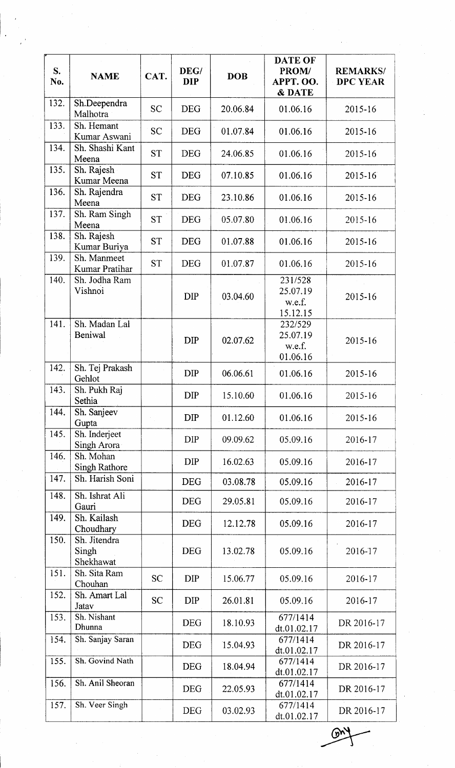| S.<br>No. | <b>NAME</b>                        | CAT.      | DEG/<br><b>DIP</b> | <b>DOB</b> | DATE OF<br>PROM/<br>APPT. OO.<br>& DATE   | <b>REMARKS/</b><br><b>DPC YEAR</b> |
|-----------|------------------------------------|-----------|--------------------|------------|-------------------------------------------|------------------------------------|
| 132.      | Sh.Deependra<br>Malhotra           | <b>SC</b> | <b>DEG</b>         | 20.06.84   | 01.06.16                                  | 2015-16                            |
| 133.      | Sh. Hemant<br>Kumar Aswani         | <b>SC</b> | <b>DEG</b>         | 01.07.84   | 01.06.16                                  | 2015-16                            |
| 134.      | Sh. Shashi Kant<br>Meena           | <b>ST</b> | <b>DEG</b>         | 24.06.85   | 01.06.16                                  | 2015-16                            |
| 135.      | Sh. Rajesh<br>Kumar Meena          | <b>ST</b> | <b>DEG</b>         | 07.10.85   | 01.06.16                                  | 2015-16                            |
| 136.      | Sh. Rajendra<br>Meena              | <b>ST</b> | <b>DEG</b>         | 23.10.86   | 01.06.16                                  | 2015-16                            |
| 137.      | Sh. Ram Singh<br>Meena             | <b>ST</b> | <b>DEG</b>         | 05.07.80   | 01.06.16                                  | 2015-16                            |
| 138.      | Sh. Rajesh<br>Kumar Buriya         | <b>ST</b> | <b>DEG</b>         | 01.07.88   | 01.06.16                                  | 2015-16                            |
| 139.      | Sh. Manmeet<br>Kumar Pratihar      | <b>ST</b> | <b>DEG</b>         | 01.07.87   | 01.06.16                                  | 2015-16                            |
| 140.      | Sh. Jodha Ram<br>Vishnoi           |           | <b>DIP</b>         | 03.04.60   | 231/528<br>25.07.19<br>w.e.f.<br>15.12.15 | 2015-16                            |
| 141.      | Sh. Madan Lal<br>Beniwal           |           | <b>DIP</b>         | 02.07.62   | 232/529<br>25.07.19<br>w.e.f.<br>01.06.16 | 2015-16                            |
| 142.      | Sh. Tej Prakash<br>Gehlot          |           | <b>DIP</b>         | 06.06.61   | 01.06.16                                  | 2015-16                            |
| 143.      | Sh. Pukh Raj<br>Sethia             |           | <b>DIP</b>         | 15.10.60   | 01.06.16                                  | 2015-16                            |
| 144.      | Sh. Sanjeev<br>Gupta               |           | <b>DIP</b>         | 01.12.60   | 01.06.16                                  | 2015-16                            |
| 145.      | Sh. Inderjeet<br>Singh Arora       |           | <b>DIP</b>         | 09.09.62   | 05.09.16                                  | 2016-17                            |
| 146.      | Sh. Mohan<br><b>Singh Rathore</b>  |           | DIP                | 16.02.63   | 05.09.16                                  | 2016-17                            |
| 147.      | Sh. Harish Soni                    |           | <b>DEG</b>         | 03.08.78   | 05.09.16                                  | 2016-17                            |
| 148.      | Sh. Ishrat Ali<br>Gauri            |           | <b>DEG</b>         | 29.05.81   | 05.09.16                                  | 2016-17                            |
| 149.      | Sh. Kailash<br>Choudhary           |           | <b>DEG</b>         | 12.12.78   | 05.09.16                                  | 2016-17                            |
| 150.      | Sh. Jitendra<br>Singh<br>Shekhawat |           | <b>DEG</b>         | 13.02.78   | 05.09.16                                  | 2016-17                            |
| 151.      | Sh. Sita Ram<br>Chouhan            | <b>SC</b> | <b>DIP</b>         | 15.06.77   | 05.09.16                                  | 2016-17                            |
| 152.      | Sh. Amart Lal<br>Jatav             | <b>SC</b> | <b>DIP</b>         | 26.01.81   | 05.09.16                                  | 2016-17                            |
| 153.      | Sh. Nishant<br>Dhunna              |           | <b>DEG</b>         | 18.10.93   | 677/1414<br>dt.01.02.17                   | DR 2016-17                         |
| 154.      | Sh. Sanjay Saran                   |           | <b>DEG</b>         | 15.04.93   | 677/1414<br>dt.01.02.17                   | DR 2016-17                         |
| 155.      | Sh. Govind Nath                    |           | <b>DEG</b>         | 18.04.94   | 677/1414<br>dt.01.02.17                   | DR 2016-17                         |
| 156.      | Sh. Anil Sheoran                   |           | <b>DEG</b>         | 22.05.93   | 677/1414<br>dt.01.02.17                   | DR 2016-17                         |
| 157.      | Sh. Veer Singh                     |           | <b>DEG</b>         | 03.02.93   | 677/1414<br>dt.01.02.17                   | DR 2016-17                         |

 $\mathbb{C}$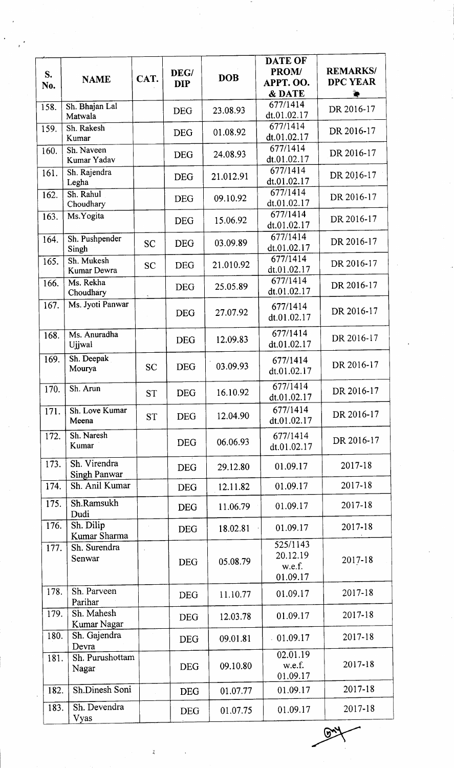|      |                         |           |            |            | <b>DATE OF</b>          |                 |
|------|-------------------------|-----------|------------|------------|-------------------------|-----------------|
| S.   |                         |           | DEG/       | <b>DOB</b> | PROM/                   | <b>REMARKS/</b> |
| No.  | <b>NAME</b>             | CAT.      | <b>DIP</b> |            | APPT. OO.               | <b>DPC YEAR</b> |
|      |                         |           |            |            | & DATE                  |                 |
| 158. | Sh. Bhajan Lal          |           | <b>DEG</b> | 23.08.93   | 677/1414                | DR 2016-17      |
|      | Matwala                 |           |            |            | dt.01.02.17             |                 |
| 159. | Sh. Rakesh              |           | <b>DEG</b> | 01.08.92   | 677/1414                | DR 2016-17      |
|      | Kumar                   |           |            |            | dt.01.02.17             |                 |
| 160. | Sh. Naveen              |           | <b>DEG</b> | 24.08.93   | 677/1414                | DR 2016-17      |
|      | Kumar Yadav             |           |            |            | dt.01.02.17<br>677/1414 |                 |
| 161. | Sh. Rajendra            |           | <b>DEG</b> | 21.012.91  | dt.01.02.17             | DR 2016-17      |
|      | Legha<br>Sh. Rahul      |           |            |            | 677/1414                |                 |
| 162. | Choudhary               |           | <b>DEG</b> | 09.10.92   | dt.01.02.17             | DR 2016-17      |
| 163. | Ms.Yogita               |           |            |            | 677/1414                |                 |
|      |                         |           | <b>DEG</b> | 15.06.92   | dt.01.02.17             | DR 2016-17      |
| 164. | Sh. Pushpender          |           |            |            | 677/1414                |                 |
|      | Singh                   | <b>SC</b> | <b>DEG</b> | 03.09.89   | dt.01.02.17             | DR 2016-17      |
| 165. | Sh. Mukesh              |           |            | 21.010.92  | 677/1414                | DR 2016-17      |
|      | Kumar Dewra             | <b>SC</b> | <b>DEG</b> |            | dt.01.02.17             |                 |
| 166. | Ms. Rekha               |           | <b>DEG</b> | 25.05.89   | 677/1414                | DR 2016-17      |
|      | Choudhary               |           |            |            | dt.01.02.17             |                 |
| 167. | Ms. Jyoti Panwar        |           |            | 27.07.92   | 677/1414                | DR 2016-17      |
|      |                         |           | <b>DEG</b> |            | dt.01.02.17             |                 |
| 168. | Ms. Anuradha            |           |            |            | 677/1414                |                 |
|      | Ujjwal                  |           | <b>DEG</b> | 12.09.83   | dt.01.02.17             | DR 2016-17      |
| 169. | Sh. Deepak              |           |            |            | 677/1414                |                 |
|      | Mourya                  | SĊ        | <b>DEG</b> | 03.09.93   | dt.01.02.17             | DR 2016-17      |
|      |                         |           |            |            |                         |                 |
| 170. | Sh. Arun                | <b>ST</b> | <b>DEG</b> | 16.10.92   | 677/1414<br>dt.01.02.17 | DR 2016-17      |
|      |                         |           |            |            | 677/1414                |                 |
| 171. | Sh. Love Kumar<br>Meena | <b>ST</b> | <b>DEG</b> | 12.04.90   | dt.01.02.17             | DR 2016-17      |
|      |                         |           |            |            |                         |                 |
| 172. | Sh. Naresh<br>Kumar     |           | <b>DEG</b> | 06.06.93   | 677/1414                | DR 2016-17      |
|      |                         |           |            |            | dt.01.02.17             |                 |
| 173. | Sh. Virendra            |           | <b>DEG</b> | 29.12.80   | 01.09.17                | 2017-18         |
|      | <b>Singh Panwar</b>     |           |            |            |                         |                 |
| 174. | Sh. Anil Kumar          |           | <b>DEG</b> | 12.11.82   | 01.09.17                | 2017-18         |
| 175. | Sh.Ramsukh              |           | <b>DEG</b> | 11.06.79   | 01.09.17                | 2017-18         |
|      | Dudi                    |           |            |            |                         |                 |
| 176. | Sh. Dilip               |           | <b>DEG</b> | 18.02.81   | 01.09.17                | 2017-18         |
|      | Kumar Sharma            |           |            |            | 525/1143                |                 |
| 177. | Sh. Surendra            |           |            |            | 20.12.19                |                 |
|      | Senwar                  |           | <b>DEG</b> | 05.08.79   | w.e.f.                  | 2017-18         |
|      |                         |           |            |            | 01.09.17                |                 |
| 178. | Sh. Parveen             |           |            |            |                         | 2017-18         |
|      | Parihar                 |           | <b>DEG</b> | 11.10.77   | 01.09.17                |                 |
| 179. | Sh. Mahesh              |           |            | 12.03.78   | 01.09.17                | 2017-18         |
|      | Kumar Nagar             |           | <b>DEG</b> |            |                         |                 |
| 180. | Sh. Gajendra            |           | <b>DEG</b> | 09.01.81   | 01.09.17                | 2017-18         |
|      | Devra                   |           |            |            |                         |                 |
| 181. | Sh. Purushottam         |           |            |            | 02.01.19<br>w.e.f.      | $2017 - 18$     |
|      | Nagar                   |           | <b>DEG</b> | 09.10.80   | 01.09.17                |                 |
|      | Sh.Dinesh Soni          |           |            |            |                         | 2017-18         |
| 182. |                         |           | <b>DEG</b> | 01.07.77   | 01.09.17                |                 |
| 183. | Sh. Devendra            |           | <b>DEG</b> | 01.07.75   | 01.09.17                | 2017-18         |
|      | Vyas                    |           |            |            |                         |                 |

 $\overline{A}$ 

**094**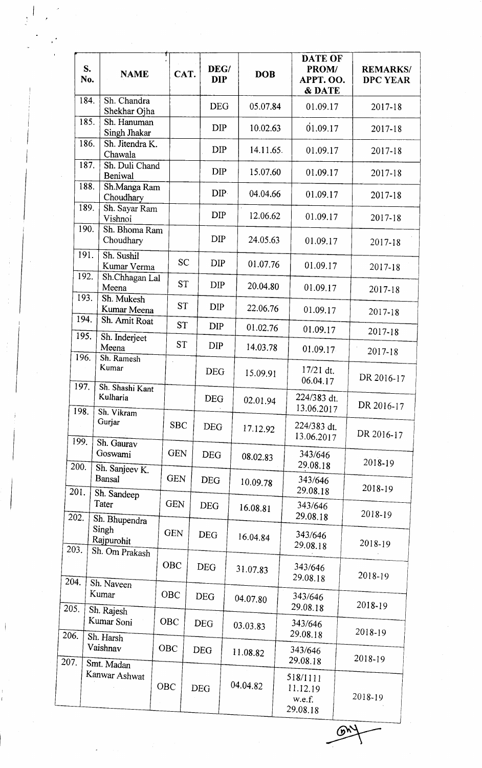|              | S.<br><b>NAME</b><br>No.                               |     | CAT.       | DEG/<br><b>DIP</b> | <b>DOB</b> | DATE OF<br>PROM/<br>APPT. OO.<br>& DATE    | <b>REMARKS/</b><br><b>DPC YEAR</b> |
|--------------|--------------------------------------------------------|-----|------------|--------------------|------------|--------------------------------------------|------------------------------------|
|              | 184.<br>Sh. Chandra<br>Shekhar Ojha                    |     |            | <b>DEG</b>         | 05.07.84   | 01.09.17                                   | 2017-18                            |
|              | 185.<br>Sh. Hanuman<br>Singh Jhakar                    |     |            | <b>DIP</b>         | 10.02.63   | 01.09.17                                   | 2017-18                            |
|              | 186.<br>Sh. Jitendra K.<br>Chawala                     |     |            | <b>DIP</b>         | 14.11.65.  | 01.09.17                                   | 2017-18                            |
|              | 187.<br>Sh. Duli Chand<br>Beniwal                      |     |            | <b>DIP</b>         | 15.07.60   | 01.09.17                                   | 2017-18                            |
|              | 188.<br>Sh.Manga Ram<br>Choudhary                      |     |            | DIP-               | 04.04.66   | 01.09.17                                   | 2017-18                            |
|              | 189.<br>Sh. Sayar Ram<br>Vishnoi                       |     |            | <b>DIP</b>         | 12.06.62   | 01.09.17                                   | 2017-18                            |
|              | 190.<br>Sh. Bhoma Ram<br>Choudhary                     |     |            | <b>DIP</b>         | 24.05.63   | 01.09.17                                   | 2017-18                            |
|              | 191.<br>Sh. Sushil<br>Kumar Verma                      |     | <b>SC</b>  | <b>DIP</b>         | 01.07.76   | 01.09.17                                   | 2017-18                            |
|              | 192.<br>Sh.Chhagan Lal<br>Meena                        |     | <b>ST</b>  | <b>DIP</b>         | 20.04.80   | 01.09.17                                   | 2017-18                            |
|              | 193.<br>Sh. Mukesh<br>Kumar Meena                      |     | <b>ST</b>  | <b>DIP</b>         | 22.06.76   | 01.09.17                                   | 2017-18                            |
|              | 194.<br>Sh. Amit Roat                                  |     | <b>ST</b>  | <b>DIP</b>         | 01.02.76   | 01.09.17                                   | 2017-18                            |
| 195.         | Sh. Inderjeet<br>Meena                                 |     | <b>ST</b>  | <b>DIP</b>         | 14.03.78   | 01.09.17                                   | 2017-18                            |
| 196.<br>197. | Sh. Ramesh<br>Kumar                                    |     |            | <b>DEG</b>         | 15.09.91   | $17/21$ dt.<br>06.04.17                    | DR 2016-17                         |
| 198.         | Sh. Shashi Kant<br>Kulharia                            |     |            | <b>DEG</b>         | 02.01.94   | 224/383 dt.<br>13.06.2017                  | DR 2016-17                         |
|              | Sh. Vikram<br>Gurjar                                   |     | <b>SBC</b> | <b>DEG</b>         | 17.12.92   | 224/383 dt.<br>13.06.2017                  | DR 2016-17                         |
| 199.<br>200. | Sh. Gaurav<br>Goswami                                  |     | <b>GEN</b> | <b>DEG</b>         | 08.02.83   | 343/646<br>29.08.18                        | 2018-19                            |
| 201.         | Sh. Sanjeev K.<br><b>Bansal</b>                        |     | <b>GEN</b> | <b>DEG</b>         | 10.09.78   | 343/646<br>29.08.18                        | 2018-19                            |
| 202.         | Sh. Sandeep<br>Tater                                   |     | <b>GEN</b> | <b>DEG</b>         | 16.08.81   | 343/646<br>29.08.18                        | 2018-19                            |
| 203.         | Sh. Bhupendra<br>Singh<br>Rajpurohit<br>Sh. Om Prakash |     | <b>GEN</b> | <b>DEG</b>         | 16.04.84   | 343/646<br>29.08.18                        | 2018-19                            |
| 204.         | Sh. Naveen                                             |     | <b>OBC</b> | <b>DEG</b>         | 31.07.83   | 343/646<br>29.08.18                        | 2018-19                            |
| 205.         | Kumar                                                  |     | OBC        | <b>DEG</b>         | 04.07.80   | 343/646<br>29.08.18                        | 2018-19                            |
|              | Sh. Rajesh<br>Kumar Soni                               |     | <b>OBC</b> | <b>DEG</b>         | 03.03.83   | 343/646<br>29.08.18                        | 2018-19                            |
| 206.         | Sh. Harsh<br>Vaishnav                                  | OBC |            | <b>DEG</b>         | 11.08.82   | 343/646<br>29.08.18                        | 2018-19                            |
| 207.         | Smt. Madan<br>Kanwar Ashwat                            | OBC |            | <b>DEG</b>         | 04.04.82   | 518/1111<br>11.12.19<br>w.e.f.<br>29.08.18 | 2018-19                            |

I :,

 $\overline{\mathcal{O}'}$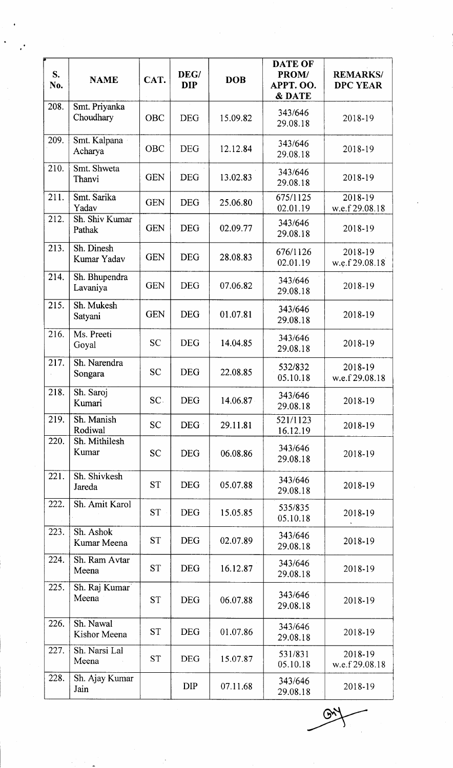| S.<br>No. | <b>NAME</b>                | CAT.       | DEG/<br><b>DIP</b> | <b>DOB</b> | <b>DATE OF</b><br>PROM/<br>APPT. OO.<br><b>&amp; DATE</b> | <b>REMARKS/</b><br><b>DPC YEAR</b> |
|-----------|----------------------------|------------|--------------------|------------|-----------------------------------------------------------|------------------------------------|
| 208.      | Smt. Priyanka<br>Choudhary | OBC        | <b>DEG</b>         | 15.09.82   | 343/646<br>29.08.18                                       | 2018-19                            |
| 209.      | Smt. Kalpana<br>Acharya    | OBC        | <b>DEG</b>         | 12.12.84   | 343/646<br>29.08.18                                       | 2018-19                            |
| 210.      | Smt. Shweta<br>Thanvi      | <b>GEN</b> | <b>DEG</b>         | 13.02.83   | 343/646<br>29.08.18                                       | 2018-19                            |
| 211.      | Smt. Sarika<br>Yadav       | <b>GEN</b> | <b>DEG</b>         | 25.06.80   | 675/1125<br>02.01.19                                      | 2018-19<br>w.e.f 29.08.18          |
| 212.      | Sh. Shiv Kumar<br>Pathak   | <b>GEN</b> | <b>DEG</b>         | 02.09.77   | 343/646<br>29.08.18                                       | 2018-19                            |
| 213.      | Sh. Dinesh<br>Kumar Yadav  | <b>GEN</b> | <b>DEG</b>         | 28.08.83   | 676/1126<br>02.01.19                                      | 2018-19<br>w.e.f 29.08.18          |
| 214.      | Sh. Bhupendra<br>Lavaniya  | <b>GEN</b> | <b>DEG</b>         | 07.06.82   | 343/646<br>29.08.18                                       | 2018-19                            |
| 215.      | Sh. Mukesh<br>Satyani      | <b>GEN</b> | <b>DEG</b>         | 01.07.81   | 343/646<br>29.08.18                                       | 2018-19                            |
| 216.      | Ms. Preeti<br>Goyal        | <b>SC</b>  | <b>DEG</b>         | 14.04.85   | 343/646<br>29.08.18                                       | 2018-19                            |
| 217.      | Sh. Narendra<br>Songara    | <b>SC</b>  | <b>DEG</b>         | 22.08.85   | 532/832<br>05.10.18                                       | 2018-19<br>w.e.f 29.08.18          |
| 218.      | Sh. Saroj<br>Kumari        | SC.        | <b>DEG</b>         | 14.06.87   | 343/646<br>29.08.18                                       | 2018-19                            |
| 219.      | Sh. Manish<br>Rodiwal      | <b>SC</b>  | DEG :              | 29.11.81   | 521/1123<br>16.12.19                                      | 2018-19                            |
| 220.      | Sh. Mithilesh<br>Kumar     | <b>SC</b>  | <b>DEG</b>         | 06.08.86   | 343/646<br>29.08.18                                       | 2018-19                            |
| 221.      | Sh. Shivkesh<br>Jareda     | <b>ST</b>  | <b>DEG</b>         | 05.07.88   | 343/646<br>29.08.18                                       | 2018-19                            |
| 222.      | Sh. Amit Karol             | <b>ST</b>  | <b>DEG</b>         | 15.05.85   | 535/835<br>05.10.18                                       | 2018-19                            |
| 223.      | Sh. Ashok<br>Kumar Meena   | <b>ST</b>  | <b>DEG</b>         | 02.07.89   | 343/646<br>29.08.18                                       | 2018-19                            |
| 224.      | Sh. Ram Avtar<br>Meena     | <b>ST</b>  | <b>DEG</b>         | 16.12.87   | 343/646<br>29.08.18                                       | 2018-19                            |
| 225.      | Sh. Raj Kumar<br>Meena     | <b>ST</b>  | <b>DEG</b>         | 06.07.88   | 343/646<br>29.08.18                                       | 2018-19                            |
| 226.      | Sh. Nawal<br>Kishor Meena  | <b>ST</b>  | <b>DEG</b>         | 01.07.86   | 343/646<br>29.08.18                                       | 2018-19                            |
| 227.      | Sh. Narsi Lal<br>Meena     | <b>ST</b>  | <b>DEG</b>         | 15.07.87   | 531/831<br>05.10.18                                       | 2018-19<br>w.e.f 29.08.18          |
| 228.      | Sh. Ajay Kumar<br>Jain     |            | <b>DIP</b>         | 07.11.68   | 343/646<br>29.08.18                                       | 2018-19                            |

 $\mathbb{R}$